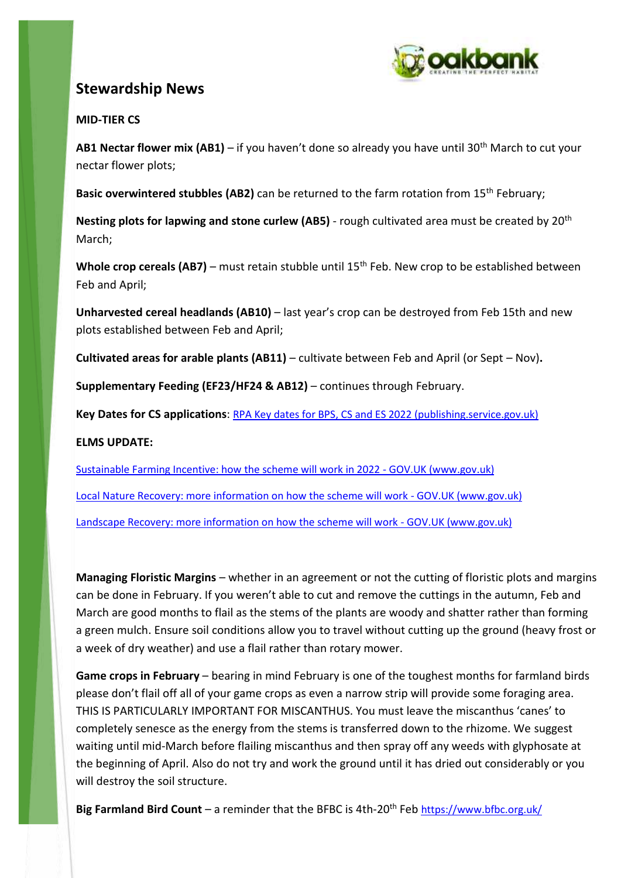

# **Stewardship News**

## **MID-TIER CS**

**AB1 Nectar flower mix (AB1)** – if you haven't done so already you have until 30th March to cut your nectar flower plots;

Basic overwintered stubbles (AB2) can be returned to the farm rotation from 15<sup>th</sup> February;

**Nesting plots for lapwing and stone curlew (AB5)** - rough cultivated area must be created by 20th March;

Whole crop cereals (AB7) – must retain stubble until 15<sup>th</sup> Feb. New crop to be established between Feb and April;

**Unharvested cereal headlands (AB10)** – last year's crop can be destroyed from Feb 15th and new plots established between Feb and April;

**Cultivated areas for arable plants (AB11)** – cultivate between Feb and April (or Sept – Nov)**.**

**Supplementary Feeding (EF23/HF24 & AB12)** – continues through February.

**Key Dates for CS applications**: [RPA Key dates for BPS, CS and ES 2022 \(publishing.service.gov.uk\)](https://assets.publishing.service.gov.uk/government/uploads/system/uploads/attachment_data/file/1049542/Key_Dates_2022_v1.0__final_.pdf)

## **ELMS UPDATE:**

[Sustainable Farming Incentive: how the scheme will work in 2022 -](https://www.gov.uk/government/publications/sustainable-farming-incentive-how-the-scheme-will-work-in-2022/sustainable-farming-incentive-how-the-scheme-will-work-in-2022) GOV.UK (www.gov.uk)

[Local Nature Recovery: more information on how the scheme will work -](https://www.gov.uk/government/publications/local-nature-recovery-more-information-on-how-the-scheme-will-work) GOV.UK (www.gov.uk)

[Landscape Recovery: more information on how the scheme will work -](https://www.gov.uk/government/publications/landscape-recovery-more-information-on-how-the-scheme-will-work) GOV.UK (www.gov.uk)

**Managing Floristic Margins** – whether in an agreement or not the cutting of floristic plots and margins can be done in February. If you weren't able to cut and remove the cuttings in the autumn, Feb and March are good months to flail as the stems of the plants are woody and shatter rather than forming a green mulch. Ensure soil conditions allow you to travel without cutting up the ground (heavy frost or a week of dry weather) and use a flail rather than rotary mower.

**Game crops in February** – bearing in mind February is one of the toughest months for farmland birds please don't flail off all of your game crops as even a narrow strip will provide some foraging area. THIS IS PARTICULARLY IMPORTANT FOR MISCANTHUS. You must leave the miscanthus 'canes' to completely senesce as the energy from the stems is transferred down to the rhizome. We suggest waiting until mid-March before flailing miscanthus and then spray off any weeds with glyphosate at the beginning of April. Also do not try and work the ground until it has dried out considerably or you will destroy the soil structure.

**Big Farmland Bird Count** – a reminder that the BFBC is 4th-20<sup>th</sup> Feb <https://www.bfbc.org.uk/>